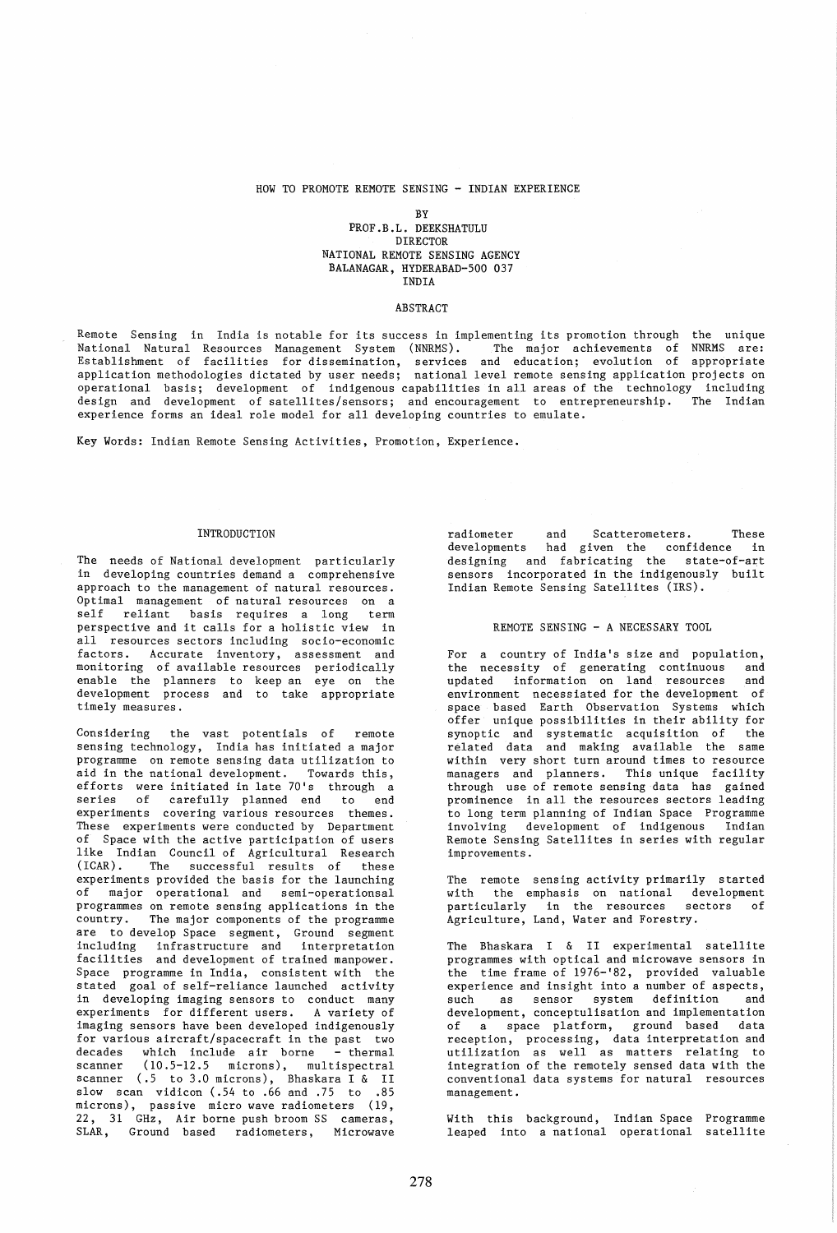## HOW TO PROMOTE REMOTE SENSING - INDIAN EXPERIENCE

## BY PROF.B.L. DEEKSHATULU DIRECTOR NATIONAL REMOTE SENSING AGENCY BALANAGAR, HYDERABAD-500 037 INDIA

## ABSTRACT

Remote Sensing in India is notable for its success in implementing its promotion through the unique National Natural Resources Management System (NNRMS). The major achievements of NNRMS are: Establishment of facilities for dissemination, services and education; evolution of appropriate application methodologies dictated by user needs; national level remote sensing application projects on operational basis; development of indigenous capabilities in all areas of the technology including design and development of satellites/sensors; and encouragement to entrepreneurship. The Indian experience forms an ideal role model for all developing countries to emulate.

Key Words: Indian Remote Sensing Activities, Promotion, Experience.

#### INTRODUCTION

The needs of National development particularly in developing countries demand a comprehensive approach to the management of natural resources. Optimal management of natural resources on a self reliant basis requires a long term perspective and it calls for a holistic view in all resources sectors including socio-economic factors. Accurate inventory, assessment and monitoring of available resources periodically enable the planners to keep an eye on the development process and to take appropriate timely measures.

Considering the vast potentials of remote sensing technology, India has initiated a major programme on remote sensing data utilization to<br>aid in the national development. Towards this, aid in the national development. efforts were initiated in late 70's through a series of carefully planned end to end experiments covering various resources themes. These experiments were conducted by Department of Space with the active participation of users of extra man Council of Agricultural Research<br>(ICAR). The successful results of these The successful results of these experiments provided the basis for the launching of major operational and semi-operationsal programmes on remote sensing applications in the country. The major components of the programme are to develop Space segment, Ground segment<br>including infrastructure and interpretation infrastructure and facilities and development of trained manpower. Space programme in India, consistent with the stated goal of self-reliance launched activity in developing imaging sensors to conduct many<br>experiments for different users. A variety of experiments for different users. imaging sensors have been developed indigenously for various aircraft/spacecraft in the past two decades which include air borne - thermal scanner (10.5-12.5 microns), multispectral scanner (.5 to 3.0 microns), Bhaskara I & II slow scan vidicon (.54 to .66 and .75 to .85 microns), passive micro wave radiometers (19, 22, 31 GHz, Air borne push broom SS cameras, SLAR, Ground based radiometers, Microwave

radiometer and Scatterometers. These<br>developments had given the confidence in had given the confidence in designing and fabricating the state-of-art sensors incorporated in the indigenously built Indian Remote Sensing Satellites (IRS).

### REMOTE SENSING - A NECESSARY TOOL

For a country of India's size and population, the necessity of generating continuous and updated information on land resources and environment necessiated for the development of space based Earth Observation Systems which offer unique possibilities in their ability for synoptic and systematic acquisition of the related data and making available the same within very short turn around times to resource managers and planners. This unique facility through use of remote sensing data has gained prominence in all the resources sectors leading to long term planning of Indian Space Programme involving development of indigenous Indian Remote Sensing Satellites in series with regular improvements.

The remote sensing activity primarily started with the emphasis on national development<br>narticularly in the resources sectors of particularly in the resources sectors of Agriculture, Land, Water and Forestry.

The Bhaskara I & II experimental satellite programmes with optical and microwave sensors in the time frame of 1976-'82, provided valuable experience and insight into a number of aspects, such as sensor system definition and development, conceptulisation and implementation of a space platform, ground based data reception, processing, data interpretation and utilization as well as matters relating to integration of the remotely sensed data with the conventional data systems for natural resources management.

With this background, Indian Space Programme leaped into a national operational satellite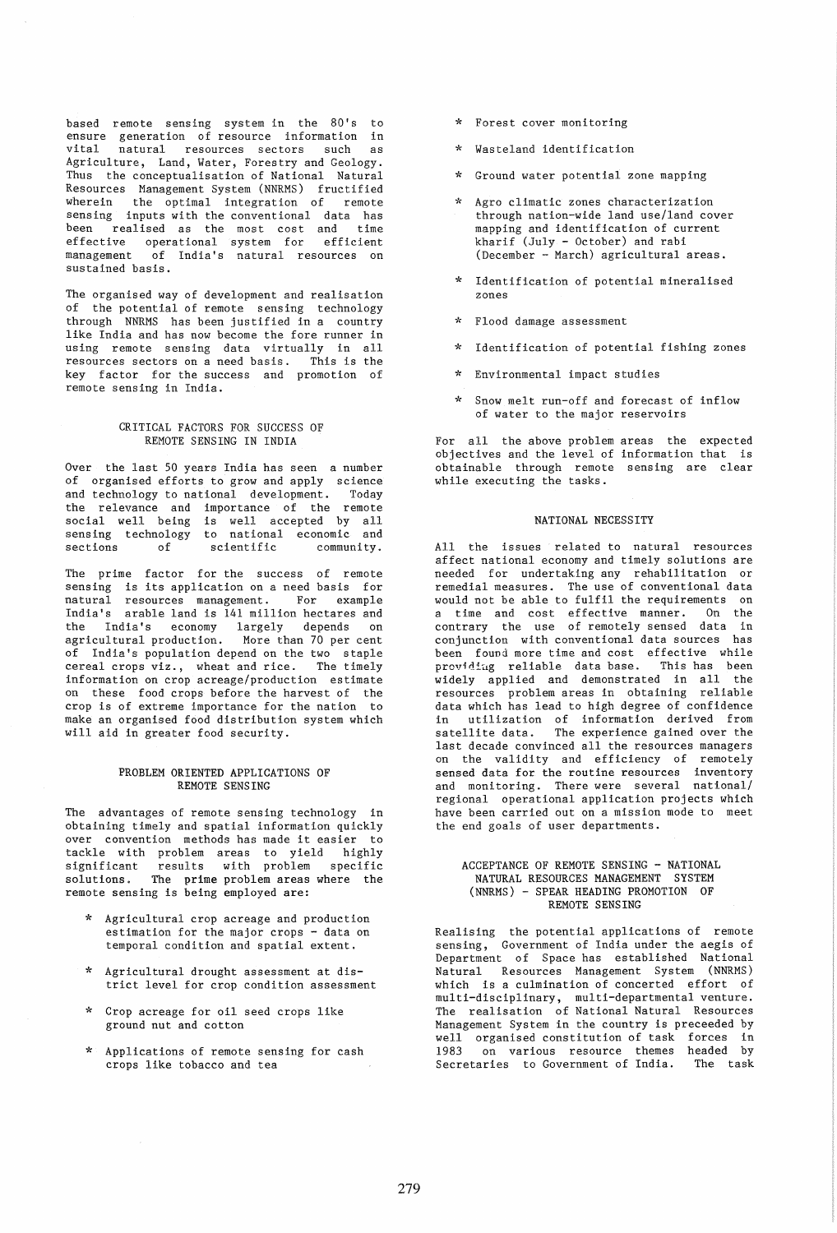based remote sensing system in the 80's to ensure generation of resource information in vital natural resources sectors such as Agriculture, Land, Water, Forestry and Geology. Thus the conceptualisation of National Natural Resources Management System (NNRMS) fructified wherein the optimal integration of remote sensing inputs with the conventional data has been realised as the most cost and time effective operational system for efficient management of India's natural resources on sustained basis.

The organised way of development and realisation of the potential of remote sensing technology through NNRMS has been justified in a country like India and has now become the fore runner in using remote sensing data virtually in all resources sectors on a need basis. This is the key factor for the success and promotion of remote sensing in India.

## CRITICAL FACTORS FOR SUCCESS OF REMOTE SENSING IN INDIA

Over the last 50 years India has seen a number of organised efforts to grow and apply science and technology to national development. Today the relevance and importance of the remote social well being is well accepted by all<br>sensing technology to national economic and sensing technology to national economic and<br>sections of scientific community. scientific

The prime factor for the success of remote sensing is its application on a need basis for<br>natural resources management. For example resources management. India's arable land is 141 million hectares and the India's economy largely depends on agricultural production. More than 70 per cent of India's population depend on the two staple cereal crops viz., wheat and rice. The timely information on crop acreage/production estimate on these food crops before the harvest of the crop is of extreme importance for the nation to make an organised food distribution system which will aid in greater food security.

## PROBLEM ORIENTED APPLICATIONS OF REMOTE SENSING

The advantages of remote sensing technology in obtaining timely and spatial information quickly over convention methods has made it easier to tackle with problem areas to yield highly significant results with problem specific solutions. The prime problem areas where the remote sensing is being employed are:

- \* Agricultural crop acreage and production estimation for the major crops - data on temporal condition and spatial extent.
- \* Agricultural drought assessment at district level for crop condition assessment
- \* Crop acreage for oil seed crops like ground nut and cotton
- \* Applications of remote sensing for cash crops like tobacco and tea
- \* Forest cover monitoring
- Wasteland identification
- \* Ground water potential zone mapping
- Agro climatic zones characterization through nation-wide land use/land cover mapping and identification of current kharif (July - October) and rabi (December - March) agricultural areas.
- Identification of potential mineralised zones
- \* Flood damage assessment
- \* Identification of potential fishing zones
- Environmental impact studies
- Snow melt run-off and forecast of inflow of water to the major reservoirs

For all the above problem areas the expected objectives and the level of information that is obtainable through remote sensing are clear while executing the tasks.

## NATIONAL NECESSITY

All the issues related to natural resources affect national economy and timely solutions are needed for undertaking any rehabilitation or remedial measures. The use of conventional data would not be able to fulfil the requirements on a time and cost effective manner. On the contrary the use of remotely sensed data in conjunction with conventional data sources has been found more time and cost effective while prov1diug reliable data base. This has been widely applied and demonstrated in all the resources problem areas in obtaining reliable data which has lead to high degree of confidence in utilization of information derived from<br>satellite data. The experience gained over the The experience gained over the last decade convinced all the resources managers on the validity and efficiency of remotely sensed data for the routine resources inventory and monitoring. There were several national/ regional operational application projects which have been carried out on a mission mode to meet the end goals of user departments.

## ACCEPTANCE OF REMOTE SENSING - NATIONAL NATURAL RESOURCES MANAGEMENT SYSTEM (NNRMS) - SPEAR HEADING PROMOTION OF REMOTE SENSING

Realising the potential applications of remote sensing, Government of India under the aegis of Department of Space has established National Natural Resources Management System (NNRMS) which is a culmination of concerted effort of multi-disciplinary, multi-departmental venture. The realisation of National Natural Resources Management System in the country is preceeded by well organised constitution of task forces in 1983 on various resource themes headed by Secretaries to Government of India. The task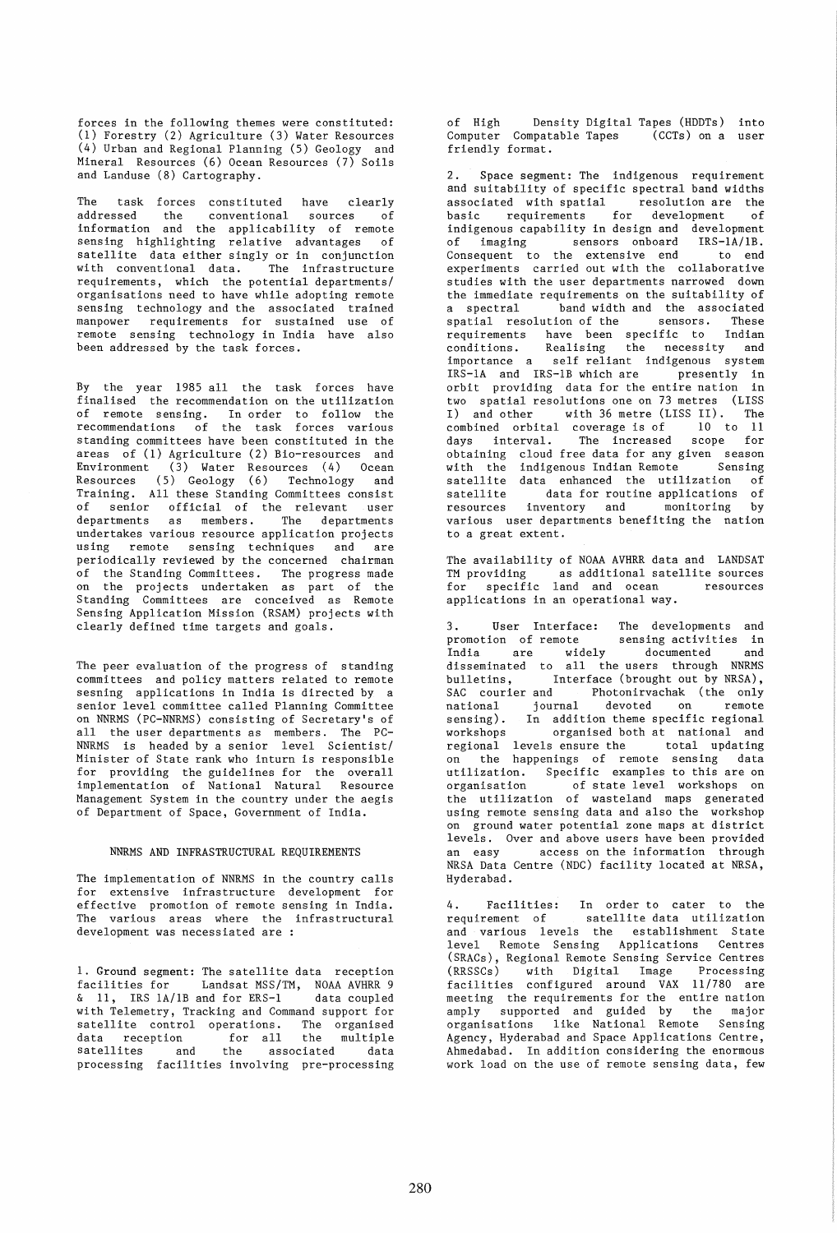forces in the following themes were constituted: (1) Forestry (2) Agriculture (3) Water Resources (4) Urban and Regional Planning (5) Geology and Mineral Resources (6) Ocean Resources (7) Soils and Landuse (8) Cartography.

The task forces constituted have clearly addressed the conventional sources of information and the applicability of remote sensing highlighting relative advantages of satellite data either singly or in conjunction with conventional data. The infrastructure requirements, which the potential departments/ organisations need to have while adopting remote sensing technology and the associated trained manpower requirements for sustained use of remote sensing technology in India have also been addressed by the task forces.

By the year 1985 all the task forces have finalised the recommendation on the utilization of remote sensing. In order to follow the recommendations of the task forces various standing committees have been constituted in the areas of (1) Agriculture (2) Bio-resources and Environment (3) Water Resources (4) Ocean Resources (5) Geology (6) Technology and Training. All these Standing Committees consist of senior official of the relevant user departments as members. The departments undertakes various resource application projects using remote sensing techniques and are periodically reviewed by the concerned chairman of the Standing Committees. The progress made on the projects undertaken as part of the Standing Committees are conceived as Remote Sensing Application Mission (RSAM) projects with clearly defined time targets and goals.

The peer evaluation of the progress of standing committees and policy matters related to remote sesning applications in India is directed by a senior level committee called Planning Committee on NNRMS (PC-NNRMS) consisting of Secretary's of all the user departments as members. The PC-NNRMS is headed by a senior level Scientist/ Minister of State rank who inturn is responsible for providing the guidelines for the overall implementation of National Natural Resource Management System in the country under the aegis of Department of Space, Government of India.

## NNRMS AND INFRASTRUCTURAL REQUIREMENTS

The implementation of NNRMS in the country calls for extensive infrastructure development for effective promotion of remote sensing in India. The various areas where the infrastructural development was necessiated are :

1. Ground segment: The satellite data reception facilities for Landsat MSS/TM, NOAA AVHRR 9 & 11, IRS 1A/1B and for ERS-1 data coupled with Telemetry, Tracking and Command support for satellite control operations. The organised<br>data reception for all the multiple data reception for all the multiple satellites and the associated data satellites and the associated data<br>processing facilities involving pre-processing

of High Density Digital Tapes (HDDTs) into<br>Computer Compatable Tapes (CCTs) on a user Computer Compatable Tapes friendly format.

2. Space segment: The indigenous requirement and suitability of specific spectral band widths associated with spatial resolution are the basic requirements for development of indigenous capability in design and development of imaging sensors onboard IRS-lA/lB. Consequent to the extensive end to end experiments carried out with the collaborative studies with the user departments narrowed down the immediate requirements on the suitability of<br>a spectral band width and the associated band width and the associated<br>ution of the sensors. These spatial resolution of the sensors. requirements have been specific to Indian<br>conditions. Realising the necessity and Realising the necessity and importance a self reliant indigenous system IRS-1A and IRS-1B which are presently in orbit providing data for the entire nation in two spatial resolutions one on 73 metres (LISS I) and other with 36 metre (LISS II). The combined orbital coverage is of 10 to 11 days interval. The increased scope for obtaining cloud free data for any given season with the indigenous Indian Remote Sensing satellite data enhanced the utilization of<br>satellite bata for routine applications of data for routine applications of resources inventory and monitoring by various user departments benefiting the nation to a great extent.

The availability of NOAA AVHRR data and LANDSAT TM providing as additional satellite sources for specific land and ocean resources applications in an operational way.

3. User Interface: The developments and<br>promotion of remote sensing activities in promotion of remote India are widely documented and disseminated to all the users through NNRMS bulletins, Interface (brought out by NRSA) , SAC courier and Photonirvachak (the only national journal devoted on remote sensing). In addition theme specific regional<br>workshops organised both at national and organised both at national and regional levels ensure the total updating on the happenings of remote sensing data utilization. Specific examples to this are on<br>organisation of state level workshops on of state level workshops on the utilization of wasteland maps generated using remote sensing data and also the workshop on ground water potential zone maps at district levels. Over and above users have been provided an easy access on the information through NRSA Data Centre (NDC) facility located at NRSA, Hyderabad.

4. Facilities: In order to cater to the requirement of satellite data utilization and various levels the establishment State level Remote Sensing Applications Centres (SRACs), Regional Remote Sensing Service Centres (RRSSCs) with Digital Image Processing facilities configured around VAX 11/780 are meeting the requirements for the entire nation amply supported and guided by the major organisations like National Remote Sensing Agency, Hyderabad and Space Applications Centre, Ahmedabad. In addition considering the enormous work load on the use of remote sensing data, few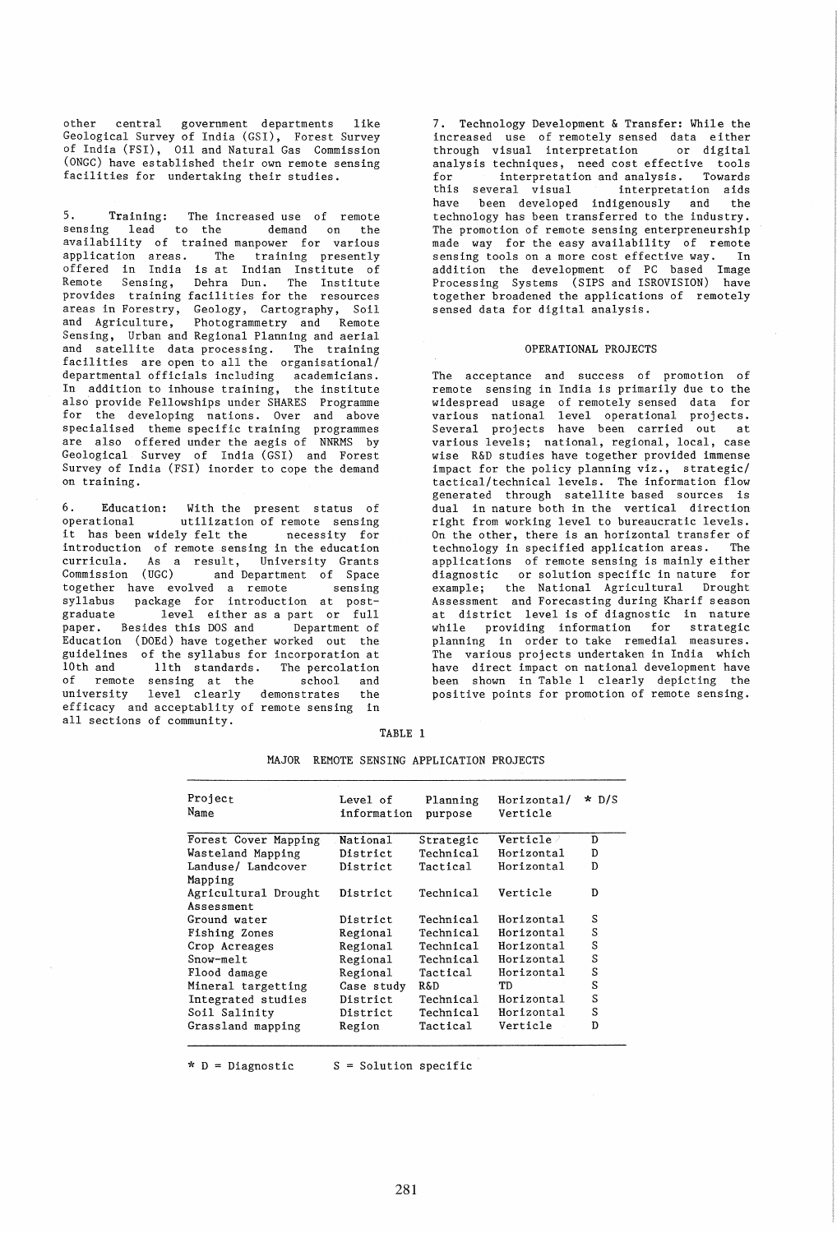other central government departments like Geological Survey of India (GSI), Forest Survey of India (FSI), Oil and Natural Gas Commission (ONGC) have established their own remote sensing facilities for undertaking their studies.

5. Training: The increased use of remote sensing lead to the demand on the availability of trained manpower for various application areas. The training presently offered in India is at Indian Institute of Remote Sensing, Dehra Dun. The Institute provides training facilities for the resources areas in Forestry, Geology, Cartography, Soil Photogrammetry and Remote Sensing, Urban and Regional Planning and aerial and satellite data processing. The training facilities are open to all the organisational/ departmental officials including academicians. In addition to inhouse training, the institute also provide Fellowships under SHARES Programme for the developing nations. Over and above specialised theme specific training programmes are also offered under the aegis of NNRMS by Geological Survey of India (GSI) and Forest Survey of India (FSI) inorder to cope the demand on training.

6. Education: With the present status of utilization of remote sensing it has been widely felt the necessity for introduction of remote sensing in the education curricula. As a result, University Grants Commission (UGC) and Department of Space together have evolved a remote sensing syllabus package for introduction at postgraduate level either as a part or full paper. Besides this DOS and Department of Education (DOEd) have together worked out the guidelines of the syllabus for incorporation at<br>10th and 11th standards. The percolation llth standards. The percolation of remote sensing at the school and university level clearly demonstrates the efficacy and acceptablity of remote sensing in all sections of community.

7. Technology Development & Transfer: While the increased use of remotely sensed data either through visual interpretation or digital analysis techniques, need cost effective tools<br>for interpretation and analysis. Towards interpretation and analysis. Towards<br>several visual interpretation aids this several visual<br>have been developed have been developed indigenously and the technology has been transferred to the industry. The promotion of remote sensing enterpreneurship made way for the easy availability of remote sensing tools on a more cost effective way. In addition the development of PC based Image Processing Systems (SIPS and ISROVISION) have together broadened the applications of remotely sensed data for digital analysis.

#### OPERATIONAL PROJECTS

The acceptance and success of promotion of remote sensing in India is primarily due to the widespread usage of remotely sensed data for various national level operational projects. Several projects have been carried out at various levels; national, regional, local, case wise R&D studies have together provided immense impact for the policy planning viz., strategic/ tactical/technical levels. The information flow generated through satellite based sources is dual in nature both in the vertical direction right from working level to bureaucratic levels. On the other, there is an horizontal transfer of<br>technology in specified application areas. The technology in specified application areas. applications of remote sensing is mainly either diagnostic or solution specific in nature for example; the National Agricultural Drought Assessment and Forecasting during Kharif season at district level is of diagnostic in nature while providing information for strategic planning in order to take remedial measures. The various projects undertaken in India which have direct impact on national development have been shown in Table 1 clearly depicting the positive points for promotion of remote sensing.

| n.<br>٠ |  |
|---------|--|
|---------|--|

| Project<br>Name      | Level of<br>information | Planning<br>purpose | Horizontal/<br>Verticle | $\star$ D/S |
|----------------------|-------------------------|---------------------|-------------------------|-------------|
| Forest Cover Mapping | National                | Strategic           | $\verb Verticle /$      | D           |
| Wasteland Mapping    | District                | Technical           | Horizontal              | D           |
| Landuse/ Landcover   | District                | Tactical            | Horizontal              | D           |
| Mapping              |                         |                     |                         |             |
| Agricultural Drought | District                | Technical           | Verticle                | D           |
| Assessment           |                         |                     |                         |             |
| Ground water         | District                | Technical           | Horizontal              | S           |
| Fishing Zones        | Regional                | Technical           | Horizontal              | S           |
| Crop Acreages        | Regional                | Technical           | Horizontal              | S           |
| Snow-melt            | Regional                | Technical           | Horizontal              | S           |
| Flood damage         | Regional                | Tactical            | Horizontal              | S           |
| Mineral targetting   | Case study              | <b>R&amp;D</b>      | TD                      | S           |
| Integrated studies   | District                | Technical           | Horizontal              | S           |
| Soil Salinity        | District                | Technical           | Horizontal              | S           |
| Grassland mapping    | Region                  | Tactical            | Verticle                | D           |

MAJOR REMOTE SENSING APPLICATION PROJECTS

 $*$  D = Diagnostic  $S$  = Solution specific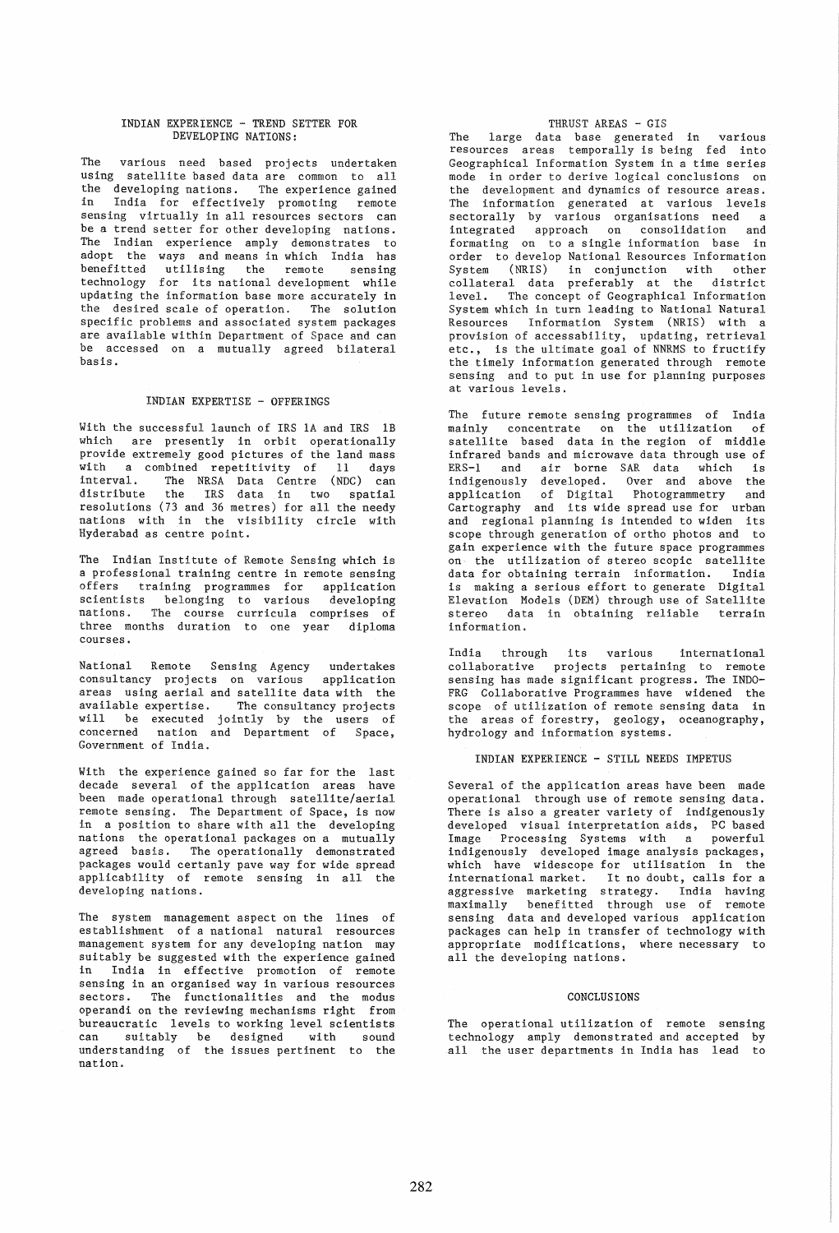### INDIAN EXPERIENCE - TREND SETTER FOR DEVELOPING NATIONS:

The various need based projects undertaken using satellite based data are common to all the developing nations. The experience gained in India for effectively promoting remote sensing virtually in all resources sectors can be a trend setter for other developing nations. The Indian experience amply demonstrates to adopt the ways and means in which India has benefitted utilising the remote sensing technology for its national development while updating the information base more accurately in the desired scale of operation. The solution specific problems and associated system packages are available within Department of Space and can be accessed on a mutually agreed bilateral basis.

### INDIAN EXPERTISE - OFFERINGS

With the successful launch of IRS 1A and IRS 1B which are presently in orbit operationally provide extremely good pictures of the land mass with a combined repetitivity of 11 days interval. The NRSA Data Centre (NDC) can distribute the IRS data in two spatial resolutions (73 and 36 metres) for all the needy nations with in the visibility circle with Hyderabad as centre point.

The Indian Institute of Remote Sensing which is a professional training centre in remote sensing offers training programmes for application scientists belonging to various developing nations. The course curricula comprises of three months duration to one year diploma courses.

National Remote Sensing Agency undertakes consultancy projects on various application areas using aerial and satellite data with the available expertise. The consultancy projects will be executed jointly by the users of concerned nation and Department of Space, Government of India.

With the experience gained so far for the last decade several of the application areas have been made operational through satellite/aerial remote sensing. The Department of Space, is now in a position to share with all the developing nations the operational packages on a mutually agreed basis. The operationally demonstrated packages would certanly pave way for wide spread applicability of remote sensing in all the developing nations.

The system management aspect on the lines of establishment of a national natural resources management system for any developing nation may suitably be suggested with the experience gained in India in effective promotion of remote sensing in an organised way in various resources sectors. The functionalities and the modus operandi on the reviewing mechanisms right from bureaucratic levels to working level scientists can SUitably be designed with sound understanding of the issues pertinent to the nation.

# THRUST AREAS - GIS

The large data base generated in various resources areas temporally is being fed into Geographical Information System in a time series mode in order to derive logical conclusions on the development and dynamics of resource areas. The information generated at various levels sectorally by various organisations need a integrated approach on consolidation and formating on to a single information base in order to develop National Resources Information System (NRIS) in conjunction with other collateral data preferably at the district level. The concept of Geographical Information System which in turn leading to National Natural Resources Information System (NRIS) with a provision of accessability, updating, retrieval etc., is the ultimate goal of NNRMS to fructify the timely information generated through remote sensing and to put in use for planning purposes at various levels.

The future remote sensing programmes of India mainly concentrate on the utilization of satellite based data in the region of middle infrared bands and microwave data through use of ERS-l and air borne SAR data which is indigenously developed. Over and above the application of Digital Photogrammetry and Cartography and its wide spread use for urban and regional planning is intended to widen its scope through generation of ortho photos and to gain experience with the future space programmes on the utilization of stereo scopic satellite data for obtaining terrain information. India is making a serious effort to generate Digital Elevation Models (DEM) through use of Satellite stereo data in obtaining reliable terrain information.

India through its various international collaborative projects pertaining to remote sensing has made significant progress. The INDO-FRG Collaborative Programmes have widened the scope of utilization of remote sensing data in the areas of forestry, geology, oceanography, hydrology and information systems.

#### INDIAN EXPERIENCE - STILL NEEDS IMPETUS

Several of the application areas have been made operational through use of remote sensing data. There is also a greater variety of indigenously developed visual interpretation aids, PC based<br>Image Processing Systems with a powerful Image Processing Systems with a indigenously developed image analysis packages, which have widescope for utilisation in the international market. It no doubt, calls for a aggressive marketing strategy. India having maximally benefitted through use of remote sensing data and developed various application packages can help in transfer of technology with appropriate modifications, where necessary to all the developing nations.

#### CONCLUSIONS

The operational utilization of remote sensing technology amply demonstrated and accepted by all the user departments in India has lead to